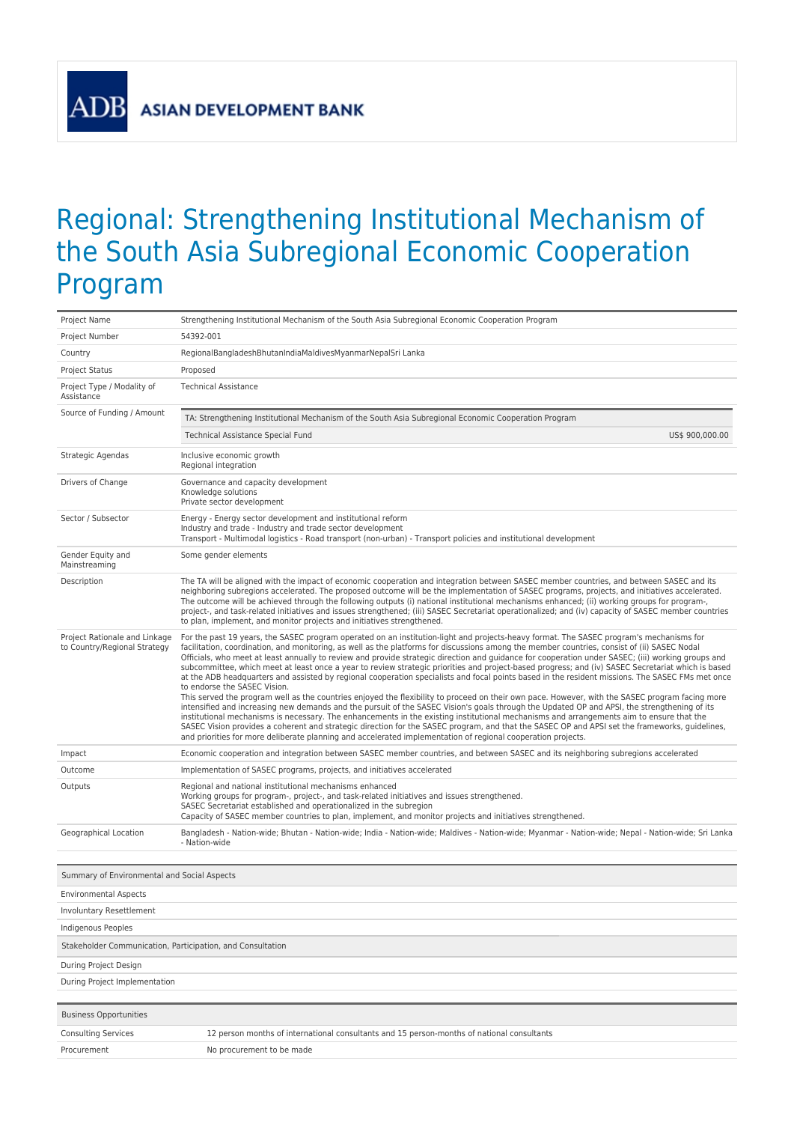**ADB** 

## Regional: Strengthening Institutional Mechanism of the South Asia Subregional Economic Cooperation Program

| Project Name                                                  | Strengthening Institutional Mechanism of the South Asia Subregional Economic Cooperation Program                                                                                                                                                                                                                                                                                                                                                                                                                                                                                                                                                                                                                                                                                                                                                                                                                                                                                                                                                                                                                                                                                                                                                                                                                                                                                                                                                                                                         |  |
|---------------------------------------------------------------|----------------------------------------------------------------------------------------------------------------------------------------------------------------------------------------------------------------------------------------------------------------------------------------------------------------------------------------------------------------------------------------------------------------------------------------------------------------------------------------------------------------------------------------------------------------------------------------------------------------------------------------------------------------------------------------------------------------------------------------------------------------------------------------------------------------------------------------------------------------------------------------------------------------------------------------------------------------------------------------------------------------------------------------------------------------------------------------------------------------------------------------------------------------------------------------------------------------------------------------------------------------------------------------------------------------------------------------------------------------------------------------------------------------------------------------------------------------------------------------------------------|--|
| Project Number                                                | 54392-001                                                                                                                                                                                                                                                                                                                                                                                                                                                                                                                                                                                                                                                                                                                                                                                                                                                                                                                                                                                                                                                                                                                                                                                                                                                                                                                                                                                                                                                                                                |  |
| Country                                                       | RegionalBangladeshBhutanIndiaMaldivesMyanmarNepalSri Lanka                                                                                                                                                                                                                                                                                                                                                                                                                                                                                                                                                                                                                                                                                                                                                                                                                                                                                                                                                                                                                                                                                                                                                                                                                                                                                                                                                                                                                                               |  |
| Project Status                                                | Proposed                                                                                                                                                                                                                                                                                                                                                                                                                                                                                                                                                                                                                                                                                                                                                                                                                                                                                                                                                                                                                                                                                                                                                                                                                                                                                                                                                                                                                                                                                                 |  |
| Project Type / Modality of<br>Assistance                      | <b>Technical Assistance</b>                                                                                                                                                                                                                                                                                                                                                                                                                                                                                                                                                                                                                                                                                                                                                                                                                                                                                                                                                                                                                                                                                                                                                                                                                                                                                                                                                                                                                                                                              |  |
| Source of Funding / Amount                                    | TA: Strengthening Institutional Mechanism of the South Asia Subregional Economic Cooperation Program                                                                                                                                                                                                                                                                                                                                                                                                                                                                                                                                                                                                                                                                                                                                                                                                                                                                                                                                                                                                                                                                                                                                                                                                                                                                                                                                                                                                     |  |
|                                                               | Technical Assistance Special Fund<br>US\$ 900,000.00                                                                                                                                                                                                                                                                                                                                                                                                                                                                                                                                                                                                                                                                                                                                                                                                                                                                                                                                                                                                                                                                                                                                                                                                                                                                                                                                                                                                                                                     |  |
| Strategic Agendas                                             | Inclusive economic growth<br>Regional integration                                                                                                                                                                                                                                                                                                                                                                                                                                                                                                                                                                                                                                                                                                                                                                                                                                                                                                                                                                                                                                                                                                                                                                                                                                                                                                                                                                                                                                                        |  |
| Drivers of Change                                             | Governance and capacity development<br>Knowledge solutions<br>Private sector development                                                                                                                                                                                                                                                                                                                                                                                                                                                                                                                                                                                                                                                                                                                                                                                                                                                                                                                                                                                                                                                                                                                                                                                                                                                                                                                                                                                                                 |  |
| Sector / Subsector                                            | Energy - Energy sector development and institutional reform<br>Industry and trade - Industry and trade sector development<br>Transport - Multimodal logistics - Road transport (non-urban) - Transport policies and institutional development                                                                                                                                                                                                                                                                                                                                                                                                                                                                                                                                                                                                                                                                                                                                                                                                                                                                                                                                                                                                                                                                                                                                                                                                                                                            |  |
| Gender Equity and<br>Mainstreaming                            | Some gender elements                                                                                                                                                                                                                                                                                                                                                                                                                                                                                                                                                                                                                                                                                                                                                                                                                                                                                                                                                                                                                                                                                                                                                                                                                                                                                                                                                                                                                                                                                     |  |
| Description                                                   | The TA will be aligned with the impact of economic cooperation and integration between SASEC member countries, and between SASEC and its<br>neighboring subregions accelerated. The proposed outcome will be the implementation of SASEC programs, projects, and initiatives accelerated.<br>The outcome will be achieved through the following outputs (i) national institutional mechanisms enhanced; (ii) working groups for program-,<br>project-, and task-related initiatives and issues strengthened; (iii) SASEC Secretariat operationalized; and (iv) capacity of SASEC member countries<br>to plan, implement, and monitor projects and initiatives strengthened.                                                                                                                                                                                                                                                                                                                                                                                                                                                                                                                                                                                                                                                                                                                                                                                                                              |  |
| Project Rationale and Linkage<br>to Country/Regional Strategy | For the past 19 years, the SASEC program operated on an institution-light and projects-heavy format. The SASEC program's mechanisms for<br>facilitation, coordination, and monitoring, as well as the platforms for discussions among the member countries, consist of (ii) SASEC Nodal<br>Officials, who meet at least annually to review and provide strategic direction and guidance for cooperation under SASEC; (iii) working groups and<br>subcommittee, which meet at least once a year to review strategic priorities and project-based progress; and (iv) SASEC Secretariat which is based<br>at the ADB headquarters and assisted by regional cooperation specialists and focal points based in the resident missions. The SASEC FMs met once<br>to endorse the SASEC Vision.<br>This served the program well as the countries enjoyed the flexibility to proceed on their own pace. However, with the SASEC program facing more<br>intensified and increasing new demands and the pursuit of the SASEC Vision's goals through the Updated OP and APSI, the strengthening of its<br>institutional mechanisms is necessary. The enhancements in the existing institutional mechanisms and arrangements aim to ensure that the<br>SASEC Vision provides a coherent and strategic direction for the SASEC program, and that the SASEC OP and APSI set the frameworks, guidelines,<br>and priorities for more deliberate planning and accelerated implementation of regional cooperation projects. |  |
| Impact                                                        | Economic cooperation and integration between SASEC member countries, and between SASEC and its neighboring subregions accelerated                                                                                                                                                                                                                                                                                                                                                                                                                                                                                                                                                                                                                                                                                                                                                                                                                                                                                                                                                                                                                                                                                                                                                                                                                                                                                                                                                                        |  |
| Outcome                                                       | Implementation of SASEC programs, projects, and initiatives accelerated                                                                                                                                                                                                                                                                                                                                                                                                                                                                                                                                                                                                                                                                                                                                                                                                                                                                                                                                                                                                                                                                                                                                                                                                                                                                                                                                                                                                                                  |  |
| Outputs                                                       | Regional and national institutional mechanisms enhanced<br>Working groups for program-, project-, and task-related initiatives and issues strengthened.<br>SASEC Secretariat established and operationalized in the subregion<br>Capacity of SASEC member countries to plan, implement, and monitor projects and initiatives strengthened.                                                                                                                                                                                                                                                                                                                                                                                                                                                                                                                                                                                                                                                                                                                                                                                                                                                                                                                                                                                                                                                                                                                                                               |  |
| Geographical Location                                         | Bangladesh - Nation-wide; Bhutan - Nation-wide; India - Nation-wide; Maldives - Nation-wide; Myanmar - Nation-wide; Nepal - Nation-wide; Sri Lanka<br>- Nation-wide                                                                                                                                                                                                                                                                                                                                                                                                                                                                                                                                                                                                                                                                                                                                                                                                                                                                                                                                                                                                                                                                                                                                                                                                                                                                                                                                      |  |
| Summary of Environmental and Social Aspects                   |                                                                                                                                                                                                                                                                                                                                                                                                                                                                                                                                                                                                                                                                                                                                                                                                                                                                                                                                                                                                                                                                                                                                                                                                                                                                                                                                                                                                                                                                                                          |  |
| <b>Environmental Aspects</b>                                  |                                                                                                                                                                                                                                                                                                                                                                                                                                                                                                                                                                                                                                                                                                                                                                                                                                                                                                                                                                                                                                                                                                                                                                                                                                                                                                                                                                                                                                                                                                          |  |
| <b>Involuntary Resettlement</b>                               |                                                                                                                                                                                                                                                                                                                                                                                                                                                                                                                                                                                                                                                                                                                                                                                                                                                                                                                                                                                                                                                                                                                                                                                                                                                                                                                                                                                                                                                                                                          |  |
| Indigenous Peoples                                            |                                                                                                                                                                                                                                                                                                                                                                                                                                                                                                                                                                                                                                                                                                                                                                                                                                                                                                                                                                                                                                                                                                                                                                                                                                                                                                                                                                                                                                                                                                          |  |
| Stakeholder Communication, Participation, and Consultation    |                                                                                                                                                                                                                                                                                                                                                                                                                                                                                                                                                                                                                                                                                                                                                                                                                                                                                                                                                                                                                                                                                                                                                                                                                                                                                                                                                                                                                                                                                                          |  |
| During Project Design                                         |                                                                                                                                                                                                                                                                                                                                                                                                                                                                                                                                                                                                                                                                                                                                                                                                                                                                                                                                                                                                                                                                                                                                                                                                                                                                                                                                                                                                                                                                                                          |  |
| During Project Implementation                                 |                                                                                                                                                                                                                                                                                                                                                                                                                                                                                                                                                                                                                                                                                                                                                                                                                                                                                                                                                                                                                                                                                                                                                                                                                                                                                                                                                                                                                                                                                                          |  |
| <b>Business Opportunities</b>                                 |                                                                                                                                                                                                                                                                                                                                                                                                                                                                                                                                                                                                                                                                                                                                                                                                                                                                                                                                                                                                                                                                                                                                                                                                                                                                                                                                                                                                                                                                                                          |  |
| <b>Consulting Services</b>                                    | 12 person months of international consultants and 15 person-months of national consultants                                                                                                                                                                                                                                                                                                                                                                                                                                                                                                                                                                                                                                                                                                                                                                                                                                                                                                                                                                                                                                                                                                                                                                                                                                                                                                                                                                                                               |  |
| Procurement                                                   | No procurement to be made                                                                                                                                                                                                                                                                                                                                                                                                                                                                                                                                                                                                                                                                                                                                                                                                                                                                                                                                                                                                                                                                                                                                                                                                                                                                                                                                                                                                                                                                                |  |
|                                                               |                                                                                                                                                                                                                                                                                                                                                                                                                                                                                                                                                                                                                                                                                                                                                                                                                                                                                                                                                                                                                                                                                                                                                                                                                                                                                                                                                                                                                                                                                                          |  |